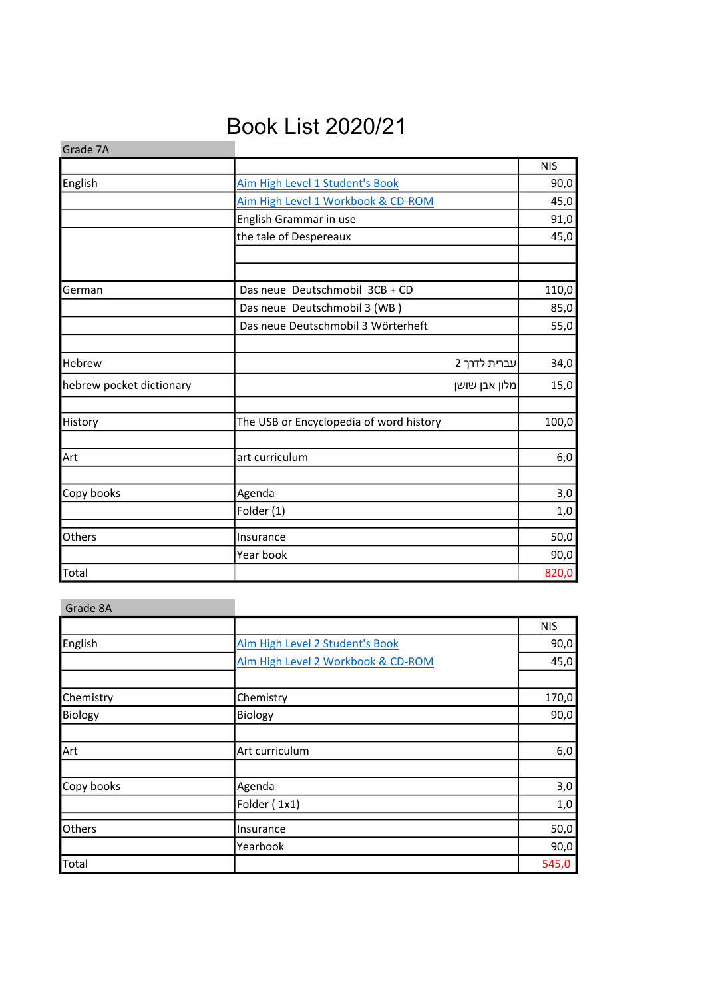## Book List 2020/21

| Grade 7A                 |                                         |            |
|--------------------------|-----------------------------------------|------------|
|                          |                                         | <b>NIS</b> |
| English                  | Aim High Level 1 Student's Book         | 90,0       |
|                          | Aim High Level 1 Workbook & CD-ROM      | 45,0       |
|                          | English Grammar in use                  | 91,0       |
|                          | the tale of Despereaux                  | 45,0       |
|                          |                                         |            |
| German                   | Das neue Deutschmobil 3CB + CD          | 110,0      |
|                          | Das neue Deutschmobil 3 (WB)            | 85,0       |
|                          | Das neue Deutschmobil 3 Wörterheft      | 55,0       |
|                          |                                         |            |
| <b>Hebrew</b>            | עברית לדרך 2                            | 34,0       |
| hebrew pocket dictionary | מלון אבן שושן                           | 15,0       |
| History                  | The USB or Encyclopedia of word history | 100,0      |
| Art                      | art curriculum                          | 6,0        |
|                          |                                         |            |
| Copy books               | Agenda                                  | 3,0        |
|                          | Folder (1)                              | 1,0        |
| Others                   | Insurance                               | 50,0       |
|                          | Year book                               | 90,0       |
| Total                    |                                         | 820,0      |

| Grade 8A   |                                    |            |
|------------|------------------------------------|------------|
|            |                                    | <b>NIS</b> |
| English    | Aim High Level 2 Student's Book    | 90,0       |
|            | Aim High Level 2 Workbook & CD-ROM | 45,0       |
| Chemistry  | Chemistry                          | 170,0      |
| Biology    | Biology                            | 90,0       |
|            |                                    |            |
| Art        | Art curriculum                     | 6,0        |
| Copy books | Agenda                             | 3,0        |
|            | Folder (1x1)                       | 1,0        |
| Others     | Insurance                          | 50,0       |
|            | Yearbook                           | 90,0       |
| Total      |                                    | 545,0      |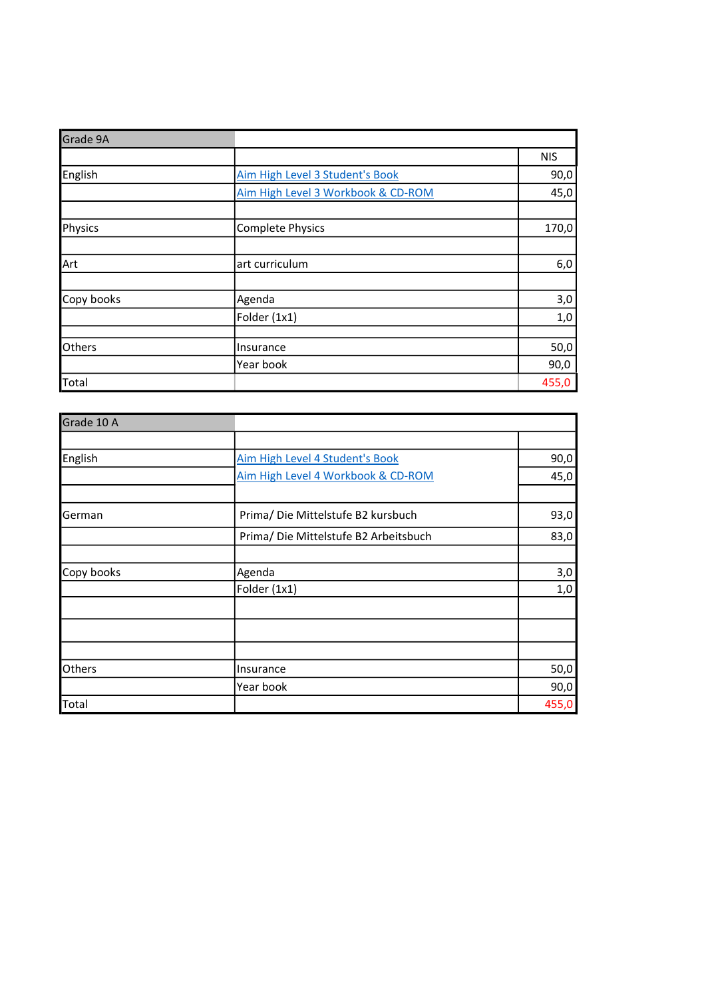| Grade 9A   |                                    |            |
|------------|------------------------------------|------------|
|            |                                    | <b>NIS</b> |
| English    | Aim High Level 3 Student's Book    | 90,0       |
|            | Aim High Level 3 Workbook & CD-ROM | 45,0       |
|            |                                    |            |
| Physics    | <b>Complete Physics</b>            | 170,0      |
|            |                                    |            |
| Art        | art curriculum                     | 6,0        |
|            |                                    |            |
| Copy books | Agenda                             | 3,0        |
|            | Folder (1x1)                       | 1,0        |
|            |                                    |            |
| Others     | Insurance                          | 50,0       |
|            | Year book                          | 90,0       |
| Total      |                                    | 455,0      |

| Grade 10 A    |                                       |       |
|---------------|---------------------------------------|-------|
|               |                                       |       |
| English       | Aim High Level 4 Student's Book       | 90,0  |
|               | Aim High Level 4 Workbook & CD-ROM    | 45,0  |
|               |                                       |       |
| German        | Prima/ Die Mittelstufe B2 kursbuch    | 93,0  |
|               | Prima/ Die Mittelstufe B2 Arbeitsbuch | 83,0  |
|               |                                       |       |
| Copy books    | Agenda                                | 3,0   |
|               | Folder (1x1)                          | 1,0   |
|               |                                       |       |
|               |                                       |       |
|               |                                       |       |
| <b>Others</b> | Insurance                             | 50,0  |
|               | Year book                             | 90,0  |
| Total         |                                       | 455,0 |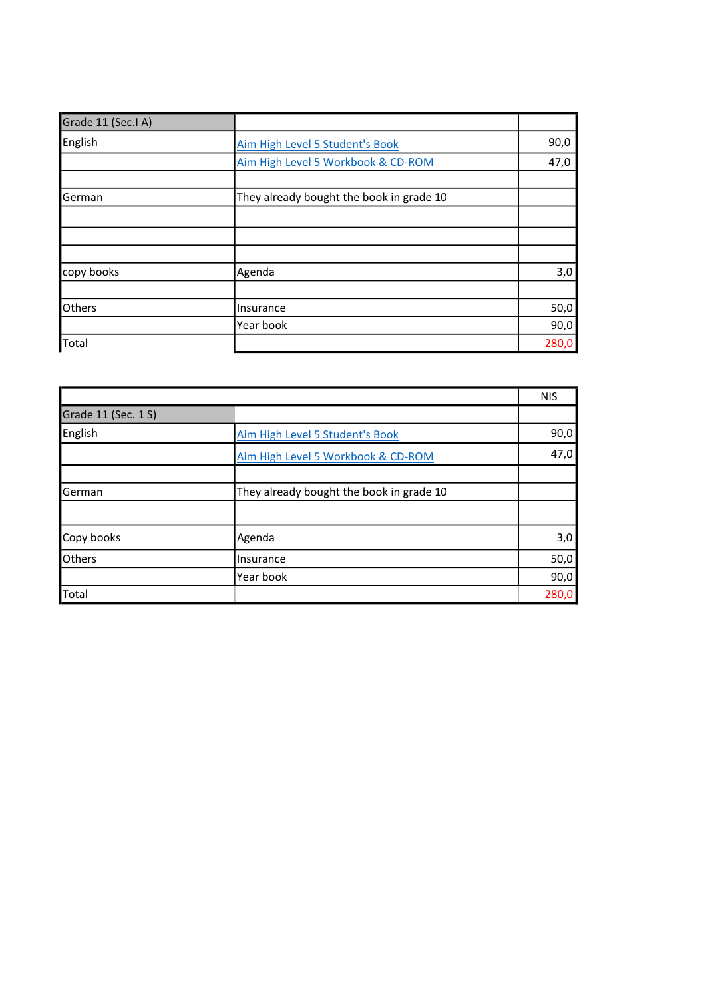| Grade 11 (Sec.I A) |                                          |       |
|--------------------|------------------------------------------|-------|
| English            | Aim High Level 5 Student's Book          | 90,0  |
|                    | Aim High Level 5 Workbook & CD-ROM       | 47,0  |
|                    |                                          |       |
| German             | They already bought the book in grade 10 |       |
|                    |                                          |       |
|                    |                                          |       |
|                    |                                          |       |
| copy books         | Agenda                                   | 3,0   |
|                    |                                          |       |
| <b>Others</b>      | Insurance                                | 50,0  |
|                    | Year book                                | 90,0  |
| Total              |                                          | 280,0 |

|                     |                                          | <b>NIS</b> |
|---------------------|------------------------------------------|------------|
| Grade 11 (Sec. 1 S) |                                          |            |
| English             | Aim High Level 5 Student's Book          | 90,0       |
|                     | Aim High Level 5 Workbook & CD-ROM       | 47,0       |
|                     |                                          |            |
| German              | They already bought the book in grade 10 |            |
|                     |                                          |            |
| Copy books          | Agenda                                   | 3,0        |
| <b>Others</b>       | Insurance                                | 50,0       |
|                     | Year book                                | 90,0       |
| Total               |                                          | 280,0      |